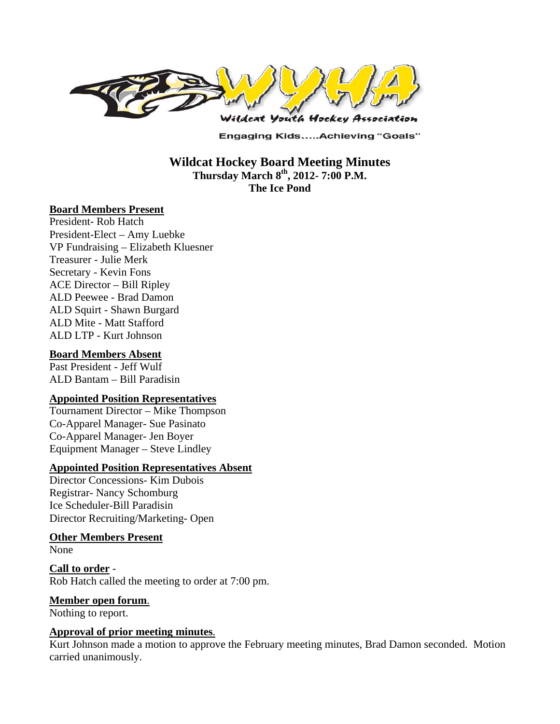

**Engaging Kids.....Achieving "Goals"** 

**Wildcat Hockey Board Meeting Minutes Thursday March 8th, 2012- 7:00 P.M. The Ice Pond** 

#### **Board Members Present**

President- Rob Hatch President-Elect – Amy Luebke VP Fundraising – Elizabeth Kluesner Treasurer - Julie Merk Secretary - Kevin Fons ACE Director – Bill Ripley ALD Peewee - Brad Damon ALD Squirt - Shawn Burgard ALD Mite - Matt Stafford ALD LTP - Kurt Johnson

#### **Board Members Absent**

Past President - Jeff Wulf ALD Bantam – Bill Paradisin

#### **Appointed Position Representatives**

Tournament Director – Mike Thompson Co-Apparel Manager- Sue Pasinato Co-Apparel Manager- Jen Boyer Equipment Manager – Steve Lindley

#### **Appointed Position Representatives Absent**

Director Concessions- Kim Dubois Registrar- Nancy Schomburg Ice Scheduler-Bill Paradisin Director Recruiting/Marketing- Open

# **Other Members Present**

None

**Call to order** - Rob Hatch called the meeting to order at 7:00 pm.

#### **Member open forum**.

Nothing to report.

#### **Approval of prior meeting minutes**.

Kurt Johnson made a motion to approve the February meeting minutes, Brad Damon seconded. Motion carried unanimously.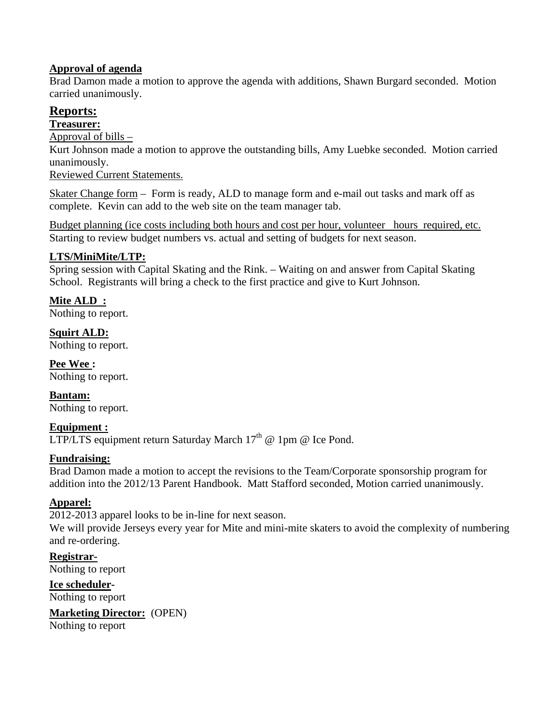# **Approval of agenda**

Brad Damon made a motion to approve the agenda with additions, Shawn Burgard seconded. Motion carried unanimously.

# **Reports:**

### **Treasurer:**

Approval of bills –

Kurt Johnson made a motion to approve the outstanding bills, Amy Luebke seconded. Motion carried unanimously.

Reviewed Current Statements.

Skater Change form – Form is ready, ALD to manage form and e-mail out tasks and mark off as complete. Kevin can add to the web site on the team manager tab.

Budget planning (ice costs including both hours and cost per hour, volunteer hours required, etc. Starting to review budget numbers vs. actual and setting of budgets for next season.

# **LTS/MiniMite/LTP:**

Spring session with Capital Skating and the Rink. – Waiting on and answer from Capital Skating School. Registrants will bring a check to the first practice and give to Kurt Johnson.

### **Mite ALD :**

Nothing to report.

**Squirt ALD:**  Nothing to report.

**Pee Wee :**  Nothing to report.

**Bantam:**  Nothing to report.

#### **Equipment :**  LTP/LTS equipment return Saturday March  $17<sup>th</sup>$  @ 1pm @ Ice Pond.

#### **Fundraising:**

Brad Damon made a motion to accept the revisions to the Team/Corporate sponsorship program for addition into the 2012/13 Parent Handbook. Matt Stafford seconded, Motion carried unanimously.

# **Apparel:**

2012-2013 apparel looks to be in-line for next season.

We will provide Jerseys every year for Mite and mini-mite skaters to avoid the complexity of numbering and re-ordering.

**Registrar-**Nothing to report

**Ice scheduler-**Nothing to report

**Marketing Director:** (OPEN)

Nothing to report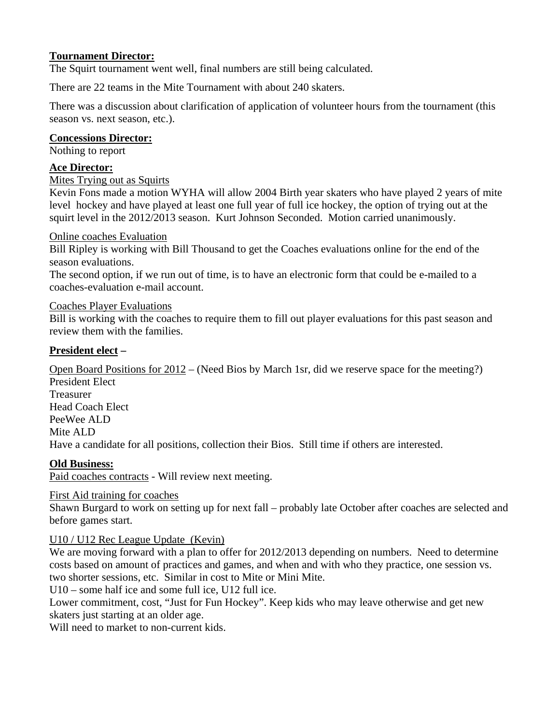# **Tournament Director:**

The Squirt tournament went well, final numbers are still being calculated.

There are 22 teams in the Mite Tournament with about 240 skaters.

There was a discussion about clarification of application of volunteer hours from the tournament (this season vs. next season, etc.).

# **Concessions Director:**

Nothing to report

# **Ace Director:**

### Mites Trying out as Squirts

Kevin Fons made a motion WYHA will allow 2004 Birth year skaters who have played 2 years of mite level hockey and have played at least one full year of full ice hockey, the option of trying out at the squirt level in the 2012/2013 season. Kurt Johnson Seconded. Motion carried unanimously.

### Online coaches Evaluation

Bill Ripley is working with Bill Thousand to get the Coaches evaluations online for the end of the season evaluations.

The second option, if we run out of time, is to have an electronic form that could be e-mailed to a coaches-evaluation e-mail account.

### Coaches Player Evaluations

Bill is working with the coaches to require them to fill out player evaluations for this past season and review them with the families.

# **President elect –**

Open Board Positions for 2012 – (Need Bios by March 1sr, did we reserve space for the meeting?) President Elect Treasurer Head Coach Elect PeeWee ALD Mite ALD Have a candidate for all positions, collection their Bios. Still time if others are interested.

# **Old Business:**

Paid coaches contracts - Will review next meeting.

#### First Aid training for coaches

Shawn Burgard to work on setting up for next fall – probably late October after coaches are selected and before games start.

#### U10 / U12 Rec League Update (Kevin)

We are moving forward with a plan to offer for 2012/2013 depending on numbers. Need to determine costs based on amount of practices and games, and when and with who they practice, one session vs. two shorter sessions, etc. Similar in cost to Mite or Mini Mite.

U10 – some half ice and some full ice, U12 full ice.

Lower commitment, cost, "Just for Fun Hockey". Keep kids who may leave otherwise and get new skaters just starting at an older age.

Will need to market to non-current kids.